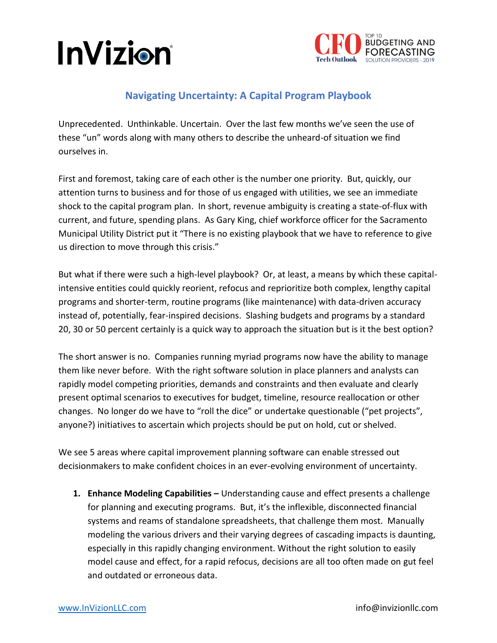



## **Navigating Uncertainty: A Capital Program Playbook**

Unprecedented. Unthinkable. Uncertain. Over the last few months we've seen the use of these "un" words along with many others to describe the unheard-of situation we find ourselves in.

First and foremost, taking care of each other is the number one priority. But, quickly, our attention turns to business and for those of us engaged with utilities, we see an immediate shock to the capital program plan. In short, revenue ambiguity is creating a state-of-flux with current, and future, spending plans. As Gary King, chief workforce officer for the Sacramento Municipal Utility District put it "There is no existing playbook that we have to reference to give us direction to move through this crisis."

But what if there were such a high-level playbook? Or, at least, a means by which these capitalintensive entities could quickly reorient, refocus and reprioritize both complex, lengthy capital programs and shorter-term, routine programs (like maintenance) with data-driven accuracy instead of, potentially, fear-inspired decisions. Slashing budgets and programs by a standard 20, 30 or 50 percent certainly is a quick way to approach the situation but is it the best option?

The short answer is no. Companies running myriad programs now have the ability to manage them like never before. With the right software solution in place planners and analysts can rapidly model competing priorities, demands and constraints and then evaluate and clearly present optimal scenarios to executives for budget, timeline, resource reallocation or other changes. No longer do we have to "roll the dice" or undertake questionable ("pet projects", anyone?) initiatives to ascertain which projects should be put on hold, cut or shelved.

We see 5 areas where capital improvement planning software can enable stressed out decisionmakers to make confident choices in an ever-evolving environment of uncertainty.

**1. Enhance Modeling Capabilities –** Understanding cause and effect presents a challenge for planning and executing programs. But, it's the inflexible, disconnected financial systems and reams of standalone spreadsheets, that challenge them most. Manually modeling the various drivers and their varying degrees of cascading impacts is daunting, especially in this rapidly changing environment. Without the right solution to easily model cause and effect, for a rapid refocus, decisions are all too often made on gut feel and outdated or erroneous data.